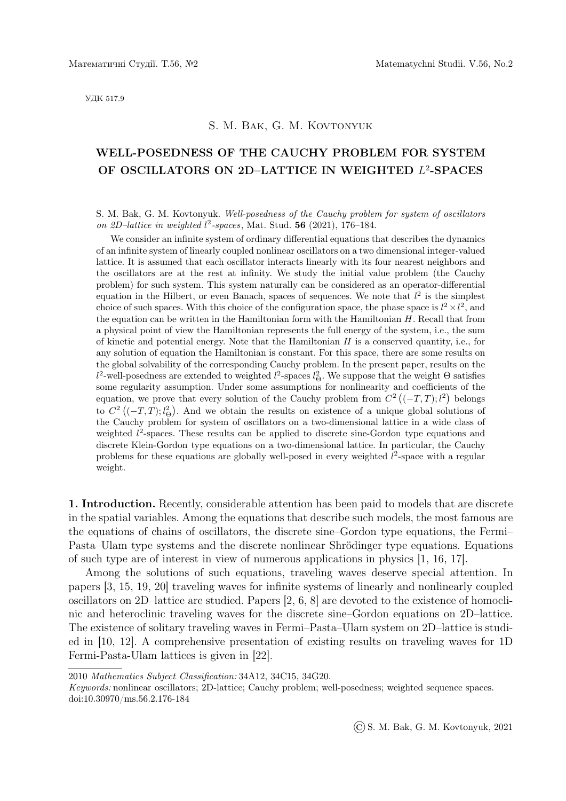УДК 517.9

## S. M. Bak, G. M. Kovtonyuk

## WELL-POSEDNESS OF THE CAUCHY PROBLEM FOR SYSTEM OF OSCILLATORS ON 2D-LATTICE IN WEIGHTED L<sup>2</sup>-SPACES

S. M. Bak, G. M. Kovtonyuk. Well-posedness of the Cauchy problem for system of oscillators on 2D-lattice in weighted  $l^2$ -spaces, Mat. Stud. 56 (2021), 176-184.

We consider an infinite system of ordinary differential equations that describes the dynamics of an infinite system of linearly coupled nonlinear oscillators on a two dimensional integer-valued lattice. It is assumed that each oscillator interacts linearly with its four nearest neighbors and the oscillators are at the rest at infinity. We study the initial value problem (the Cauchy problem) for such system. This system naturally can be considered as an operator-differential equation in the Hilbert, or even Banach, spaces of sequences. We note that  $l^2$  is the simplest choice of such spaces. With this choice of the configuration space, the phase space is  $l^2 \times l^2$ , and the equation can be written in the Hamiltonian form with the Hamiltonian H. Recall that from a physical point of view the Hamiltonian represents the full energy of the system, i.e., the sum of kinetic and potential energy. Note that the Hamiltonian  $H$  is a conserved quantity, i.e., for any solution of equation the Hamiltonian is constant. For this space, there are some results on the global solvability of the corresponding Cauchy problem. In the present paper, results on the  $l^2$ -well-posedness are extended to weighted  $l^2$ -spaces  $l^2_{\Theta}$ . We suppose that the weight  $\Theta$  satisfies some regularity assumption. Under some assumptions for nonlinearity and coefficients of the equation, we prove that every solution of the Cauchy problem from  $C^2((-T,T); l^2)$  belongs to  $C^2$  ((-T, T);  $l_{\Theta}^2$ ). And we obtain the results on existence of a unique global solutions of the Cauchy problem for system of oscillators on a two-dimensional lattice in a wide class of weighted  $l^2$ -spaces. These results can be applied to discrete sine-Gordon type equations and discrete Klein-Gordon type equations on a two-dimensional lattice. In particular, the Cauchy problems for these equations are globally well-posed in every weighted  $l^2$ -space with a regular weight.

1. Introduction. Recently, considerable attention has been paid to models that are discrete in the spatial variables. Among the equations that describe such models, the most famous are the equations of chains of oscillators, the discrete sine–Gordon type equations, the Fermi– Pasta–Ulam type systems and the discrete nonlinear Shrödinger type equations. Equations of such type are of interest in view of numerous applications in physics [1, 16, 17].

Among the solutions of such equations, traveling waves deserve special attention. In papers [3, 15, 19, 20] traveling waves for infinite systems of linearly and nonlinearly coupled oscillators on 2D–lattice are studied. Papers [2, 6, 8] are devoted to the existence of homoclinic and heteroclinic traveling waves for the discrete sine–Gordon equations on 2D–lattice. The existence of solitary traveling waves in Fermi–Pasta–Ulam system on 2D–lattice is studied in [10, 12]. A comprehensive presentation of existing results on traveling waves for 1D Fermi-Pasta-Ulam lattices is given in [22].

2010 Mathematics Subject Classification: 34A12, 34C15, 34G20.

Keywords: nonlinear oscillators; 2D-lattice; Cauchy problem; well-posedness; weighted sequence spaces. doi:10.30970/ms.56.2.176-184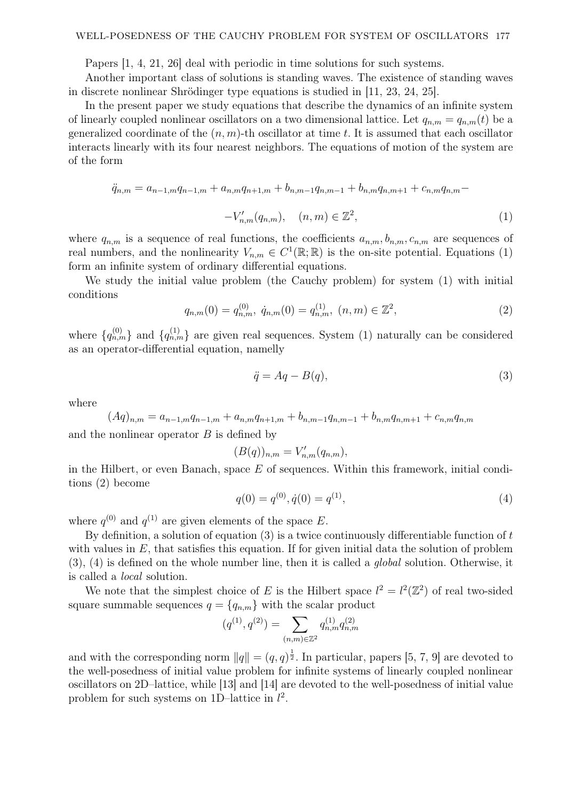Papers [1, 4, 21, 26] deal with periodic in time solutions for such systems.

Another important class of solutions is standing waves. The existence of standing waves in discrete nonlinear Shrödinger type equations is studied in  $[11, 23, 24, 25]$ .

In the present paper we study equations that describe the dynamics of an infinite system of linearly coupled nonlinear oscillators on a two dimensional lattice. Let  $q_{n,m} = q_{n,m}(t)$  be a generalized coordinate of the  $(n, m)$ -th oscillator at time t. It is assumed that each oscillator interacts linearly with its four nearest neighbors. The equations of motion of the system are of the form

$$
\ddot{q}_{n,m} = a_{n-1,m}q_{n-1,m} + a_{n,m}q_{n+1,m} + b_{n,m-1}q_{n,m-1} + b_{n,m}q_{n,m+1} + c_{n,m}q_{n,m} - V'_{n,m}(q_{n,m}), \quad (n,m) \in \mathbb{Z}^2,
$$
\n
$$
(1)
$$

where  $q_{n,m}$  is a sequence of real functions, the coefficients  $a_{n,m}$ ,  $b_{n,m}$ ,  $c_{n,m}$  are sequences of real numbers, and the nonlinearity  $V_{n,m} \in C^1(\mathbb{R};\mathbb{R})$  is the on-site potential. Equations (1) form an infinite system of ordinary differential equations.

We study the initial value problem (the Cauchy problem) for system (1) with initial conditions

$$
q_{n,m}(0) = q_{n,m}^{(0)}, \ \dot{q}_{n,m}(0) = q_{n,m}^{(1)}, \ (n,m) \in \mathbb{Z}^2,
$$
\n<sup>(2)</sup>

where  $\{q_{n,m}^{(0)}\}$  and  $\{q_{n,m}^{(1)}\}$  are given real sequences. System (1) naturally can be considered as an operator-differential equation, namelly

$$
\ddot{q} = Aq - B(q),\tag{3}
$$

where

 $(Aq)_{n,m} = a_{n-1,m}q_{n-1,m} + a_{n,m}q_{n+1,m} + b_{n,m-1}q_{n,m-1} + b_{n,m}q_{n,m+1} + c_{n,m}q_{n,m}$ and the nonlinear operator  $B$  is defined by

$$
(B(q))_{n,m}=V'_{n,m}(q_{n,m}),
$$

in the Hilbert, or even Banach, space  $E$  of sequences. Within this framework, initial conditions (2) become

$$
q(0) = q^{(0)}, \dot{q}(0) = q^{(1)}, \tag{4}
$$

where  $q^{(0)}$  and  $q^{(1)}$  are given elements of the space E.

By definition, a solution of equation  $(3)$  is a twice continuously differentiable function of t with values in  $E$ , that satisfies this equation. If for given initial data the solution of problem  $(3)$ ,  $(4)$  is defined on the whole number line, then it is called a *global* solution. Otherwise, it is called a local solution.

We note that the simplest choice of E is the Hilbert space  $l^2 = l^2(\mathbb{Z}^2)$  of real two-sided square summable sequences  $q = \{q_{n,m}\}\$  with the scalar product

$$
(q^{(1)}, q^{(2)}) = \sum_{(n,m)\in\mathbb{Z}^2} q_{n,m}^{(1)} q_{n,m}^{(2)}
$$

and with the corresponding norm  $||q|| = (q, q)^{\frac{1}{2}}$ . In particular, papers [5, 7, 9] are devoted to the well-posedness of initial value problem for infinite systems of linearly coupled nonlinear oscillators on 2D–lattice, while [13] and [14] are devoted to the well-posedness of initial value problem for such systems on 1D–lattice in  $l^2$ .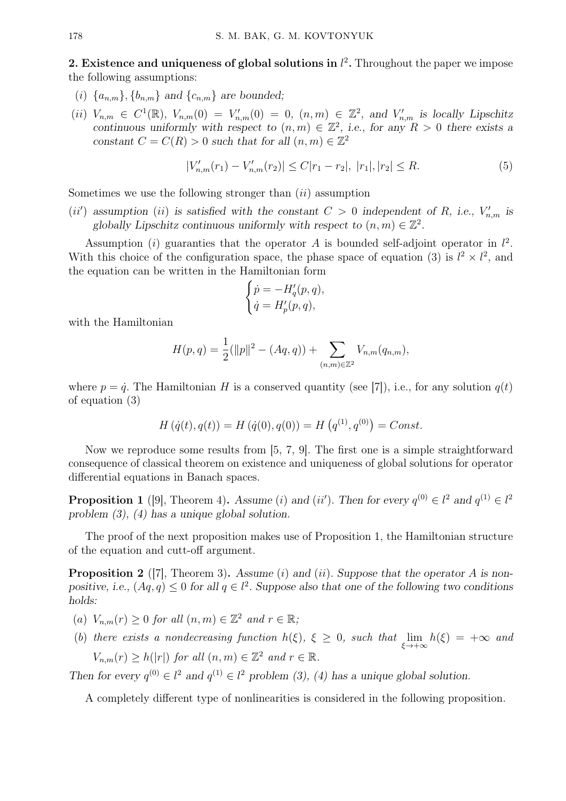2. Existence and uniqueness of global solutions in  $l^2$ . Throughout the paper we impose the following assumptions:

- (i)  $\{a_{n,m}\}, \{b_{n,m}\}\$  and  $\{c_{n,m}\}\$  are bounded;
- (ii)  $V_{n,m} \in C^1(\mathbb{R})$ ,  $V_{n,m}(0) = V'_{n,m}(0) = 0$ ,  $(n,m) \in \mathbb{Z}^2$ , and  $V'_{n,m}$  is locally Lipschitz continuous uniformly with respect to  $(n, m) \in \mathbb{Z}^2$ , i.e., for any  $R > 0$  there exists a constant  $C = C(R) > 0$  such that for all  $(n, m) \in \mathbb{Z}^2$

$$
|V'_{n,m}(r_1) - V'_{n,m}(r_2)| \le C|r_1 - r_2|, |r_1|, |r_2| \le R.
$$
\n
$$
(5)
$$

Sometimes we use the following stronger than  $(ii)$  assumption

(ii') assumption (ii) is satisfied with the constant  $C > 0$  independent of R, i.e.,  $V'_{n,m}$  is globally Lipschitz continuous uniformly with respect to  $(n, m) \in \mathbb{Z}^2$ .

Assumption (i) guaranties that the operator A is bounded self-adjoint operator in  $l^2$ . With this choice of the configuration space, the phase space of equation (3) is  $l^2 \times l^2$ , and the equation can be written in the Hamiltonian form

$$
\begin{cases}\n\dot{p} = -H'_q(p, q), \\
\dot{q} = H'_p(p, q),\n\end{cases}
$$

with the Hamiltonian

$$
H(p,q) = \frac{1}{2}(\|p\|^2 - (Aq,q)) + \sum_{(n,m)\in\mathbb{Z}^2} V_{n,m}(q_{n,m}),
$$

where  $p = \dot{q}$ . The Hamiltonian H is a conserved quantity (see [7]), i.e., for any solution  $q(t)$ of equation (3)

$$
H(q(t), q(t)) = H(q(0), q(0)) = H(q^{(1)}, q^{(0)}) = Const.
$$

Now we reproduce some results from [5, 7, 9]. The first one is a simple straightforward consequence of classical theorem on existence and uniqueness of global solutions for operator differential equations in Banach spaces.

**Proposition 1** ([9], Theorem 4). Assume (i) and (ii'). Then for every  $q^{(0)} \in l^2$  and  $q^{(1)} \in l^2$ problem (3), (4) has a unique global solution.

The proof of the next proposition makes use of Proposition 1, the Hamiltonian structure of the equation and cutt-off argument.

**Proposition 2** ([7], Theorem 3). Assume (i) and (ii). Suppose that the operator A is nonpositive, i.e.,  $(Aq, q) \leq 0$  for all  $q \in l^2$ . Suppose also that one of the following two conditions holds:

- (a)  $V_{n,m}(r) \geq 0$  for all  $(n,m) \in \mathbb{Z}^2$  and  $r \in \mathbb{R}$ ;
- (b) there exists a nondecreasing function  $h(\xi)$ ,  $\xi \geq 0$ , such that  $\lim_{\xi \to +\infty} h(\xi) = +\infty$  and  $V_{n,m}(r) \ge h(|r|)$  for all  $(n,m) \in \mathbb{Z}^2$  and  $r \in \mathbb{R}$ .

Then for every  $q^{(0)} \in l^2$  and  $q^{(1)} \in l^2$  problem (3), (4) has a unique global solution.

A completely different type of nonlinearities is considered in the following proposition.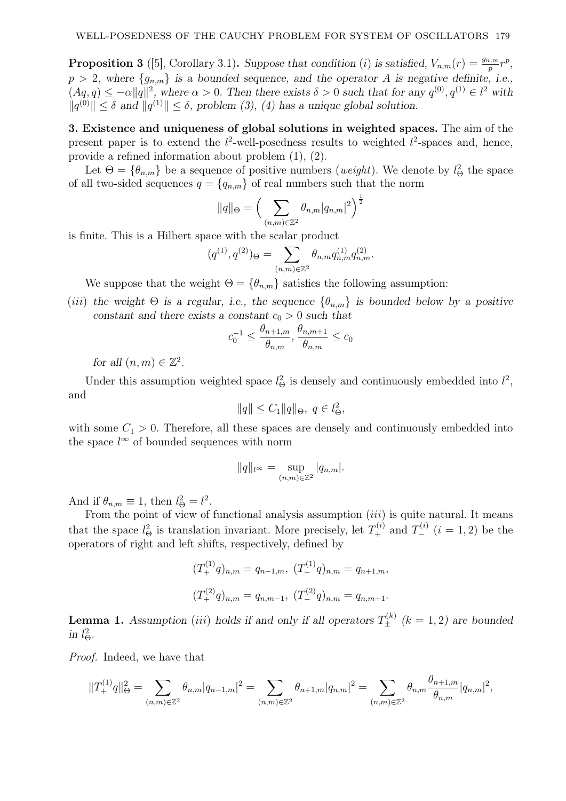**Proposition 3** ([5], Corollary 3.1). Suppose that condition (i) is satisfied,  $V_{n,m}(r) = \frac{g_{n,m}}{p}r^p$ ,  $p > 2$ , where  $\{g_{n,m}\}\$ is a bounded sequence, and the operator A is negative definite, i.e.,  $(Aq, q) \leq -\alpha ||q||^2$ , where  $\alpha > 0$ . Then there exists  $\delta > 0$  such that for any  $q^{(0)}, q^{(1)} \in l^2$  with  $||q^{(0)}|| \leq \delta$  and  $||q^{(1)}|| \leq \delta$ , problem (3), (4) has a unique global solution.

3. Existence and uniqueness of global solutions in weighted spaces. The aim of the present paper is to extend the  $l^2$ -well-posedness results to weighted  $l^2$ -spaces and, hence, provide a refined information about problem (1), (2).

Let  $\Theta = {\theta_{n,m}}$  be a sequence of positive numbers (*weight*). We denote by  $l_{\Theta}^2$  the space of all two-sided sequences  $q = \{q_{n,m}\}\$  of real numbers such that the norm

$$
||q||_{\Theta} = \Big(\sum_{(n,m)\in\mathbb{Z}^2} \theta_{n,m}|q_{n,m}|^2\Big)^{\frac{1}{2}}
$$

is finite. This is a Hilbert space with the scalar product

$$
(q^{(1)},q^{(2)})_{\Theta}=\sum_{(n,m)\in\mathbb{Z}^2}\theta_{n,m}q_{n,m}^{(1)}q_{n,m}^{(2)}.
$$

We suppose that the weight  $\Theta = {\theta_{n,m}}$  satisfies the following assumption:

(iii) the weight  $\Theta$  is a regular, i.e., the sequence  $\{\theta_{n,m}\}$  is bounded below by a positive constant and there exists a constant  $c_0 > 0$  such that

$$
c_0^{-1} \le \frac{\theta_{n+1,m}}{\theta_{n,m}}, \frac{\theta_{n,m+1}}{\theta_{n,m}} \le c_0
$$

for all  $(n, m) \in \mathbb{Z}^2$ .

Under this assumption weighted space  $l_{\Theta}^2$  is densely and continuously embedded into  $l^2$ , and

$$
||q|| \leq C_1 ||q||_{\Theta}, q \in l_{\Theta}^2,
$$

with some  $C_1 > 0$ . Therefore, all these spaces are densely and continuously embedded into the space  $l^{\infty}$  of bounded sequences with norm

$$
||q||_{l^{\infty}} = \sup_{(n,m)\in\mathbb{Z}^2} |q_{n,m}|.
$$

And if  $\theta_{n,m} \equiv 1$ , then  $l_{\Theta}^2 = l^2$ .

From the point of view of functional analysis assumption  $(iii)$  is quite natural. It means that the space  $l_{\Theta}^2$  is translation invariant. More precisely, let  $T_+^{(i)}$  and  $T_-^{(i)}$   $(i = 1, 2)$  be the operators of right and left shifts, respectively, defined by

$$
(T_{+}^{(1)}q)_{n,m} = q_{n-1,m}, (T_{-}^{(1)}q)_{n,m} = q_{n+1,m},
$$
  

$$
(T_{+}^{(2)}q)_{n,m} = q_{n,m-1}, (T_{-}^{(2)}q)_{n,m} = q_{n,m+1}.
$$

**Lemma 1.** Assumption (iii) holds if and only if all operators  $T_{\pm}^{(k)}$  ( $k = 1, 2$ ) are bounded in  $l^2_{\Theta}$ .

Proof. Indeed, we have that

$$
||T_+^{(1)}q||_{\Theta}^2 = \sum_{(n,m)\in\mathbb{Z}^2} \theta_{n,m}|q_{n-1,m}|^2 = \sum_{(n,m)\in\mathbb{Z}^2} \theta_{n+1,m}|q_{n,m}|^2 = \sum_{(n,m)\in\mathbb{Z}^2} \theta_{n,m}\frac{\theta_{n+1,m}}{\theta_{n,m}}|q_{n,m}|^2,
$$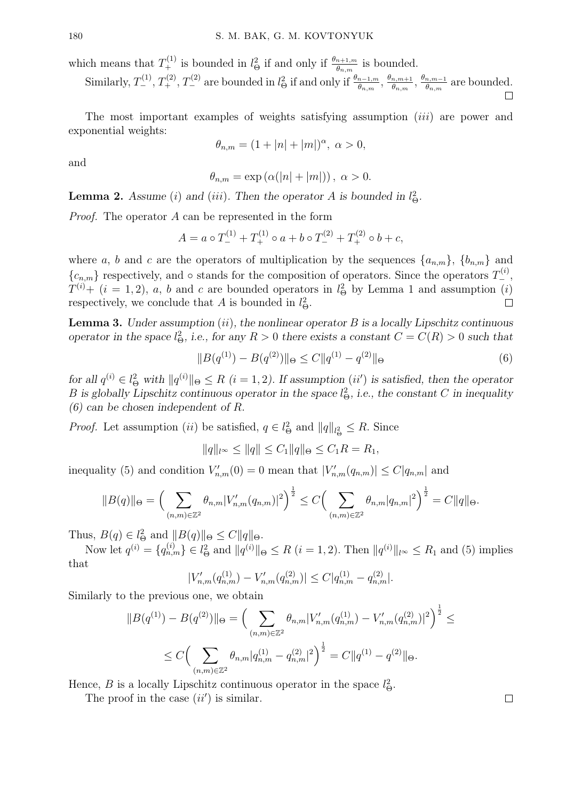which means that  $T^{(1)}_+$  is bounded in  $l^2_{\Theta}$  if and only if  $\frac{\theta_{n+1,m}}{\theta_{n,m}}$  is bounded.

Similarly,  $T_{-}^{(1)}$ ,  $T_{+}^{(2)}$ ,  $T_{-}^{(2)}$  are bounded in  $l_{\Theta}^{2}$  if and only if  $\frac{\theta_{n-1,m}}{\theta_{n,m}}$ ,  $\frac{\theta_{n,m+1}}{\theta_{n,m}}$  $\frac{n,m+1}{\theta_{n,m}},\,\frac{\theta_{n,m-1}}{\theta_{n,m}}$  $\frac{n,m-1}{\theta_{n,m}}$  are bounded.  $\Box$ 

The most important examples of weights satisfying assumption *(iii)* are power and exponential weights:

$$
\theta_{n,m} = (1 + |n| + |m|)^{\alpha}, \ \alpha > 0,
$$

and

$$
\theta_{n,m} = \exp\left(\alpha(|n|+|m|)\right), \ \alpha > 0.
$$

**Lemma 2.** Assume (i) and (iii). Then the operator A is bounded in  $l_{\Theta}^2$ .

Proof. The operator A can be represented in the form

$$
A = a \circ T_{-}^{(1)} + T_{+}^{(1)} \circ a + b \circ T_{-}^{(2)} + T_{+}^{(2)} \circ b + c,
$$

where a, b and c are the operators of multiplication by the sequences  $\{a_{n,m}\}, \{b_{n,m}\}\$  and  ${c_{n,m}}$  respectively, and ∘ stands for the composition of operators. Since the operators  $T_{-}^{(i)}$ ,  $T^{(i)}+$  (i = 1, 2), a, b and c are bounded operators in  $l_{\Theta}^2$  by Lemma 1 and assumption (i) respectively, we conclude that A is bounded in  $l_{\Theta}^2$ .  $\Box$ 

**Lemma 3.** Under assumption (ii), the nonlinear operator  $B$  is a locally Lipschitz continuous operator in the space  $l^2_{\Theta}$ , i.e., for any  $R > 0$  there exists a constant  $C = C(R) > 0$  such that

$$
||B(q^{(1)}) - B(q^{(2)})||_{\Theta} \le C||q^{(1)} - q^{(2)}||_{\Theta}
$$
\n(6)

for all  $q^{(i)} \in l^2_{\Theta}$  with  $||q^{(i)}||_{\Theta} \le R$   $(i = 1, 2)$ . If assumption  $(ii')$  is satisfied, then the operator B is globally Lipschitz continuous operator in the space  $l_{\Theta}^2$ , i.e., the constant C in inequality (6) can be chosen independent of R.

*Proof.* Let assumption (*ii*) be satisfied,  $q \in l^2_{\Theta}$  and  $||q||_{l^2_{\Theta}} \leq R$ . Since

$$
||q||_{l^{\infty}} \le ||q|| \le C_1 ||q||_{\Theta} \le C_1 R = R_1,
$$

inequality (5) and condition  $V'_{n,m}(0) = 0$  mean that  $|V'_{n,m}(q_{n,m})| \leq C |q_{n,m}|$  and

$$
||B(q)||_{\Theta} = \Big(\sum_{(n,m)\in\mathbb{Z}^2} \theta_{n,m} |V'_{n,m}(q_{n,m})|^2\Big)^{\frac{1}{2}} \le C\Big(\sum_{(n,m)\in\mathbb{Z}^2} \theta_{n,m} |q_{n,m}|^2\Big)^{\frac{1}{2}} = C||q||_{\Theta}.
$$

Thus,  $B(q) \in l^2_{\Theta}$  and  $||B(q)||_{\Theta} \leq C||q||_{\Theta}$ .

Now let  $q^{(i)} = \{q_{n,m}^{(i)}\} \in l^2_{\Theta}$  and  $||q^{(i)}||_{\Theta} \le R$   $(i = 1, 2)$ . Then  $||q^{(i)}||_{l^{\infty}} \le R_1$  and (5) implies that

$$
|V'_{n,m}(q_{n,m}^{(1)}) - V'_{n,m}(q_{n,m}^{(2)})| \leq C|q_{n,m}^{(1)} - q_{n,m}^{(2)}|.
$$

Similarly to the previous one, we obtain

$$
||B(q^{(1)}) - B(q^{(2)})||_{\Theta} = \Big(\sum_{(n,m)\in\mathbb{Z}^2} \theta_{n,m} |V'_{n,m}(q^{(1)}_{n,m}) - V'_{n,m}(q^{(2)}_{n,m})|^2\Big)^{\frac{1}{2}} \le
$$
  

$$
\leq C \Big(\sum_{(n,m)\in\mathbb{Z}^2} \theta_{n,m} |q^{(1)}_{n,m} - q^{(2)}_{n,m}|^2\Big)^{\frac{1}{2}} = C||q^{(1)} - q^{(2)}||_{\Theta}.
$$

Hence, *B* is a locally Lipschitz continuous operator in the space  $l_{\Theta}^2$ .

The proof in the case  $(ii')$  is similar.

 $\Box$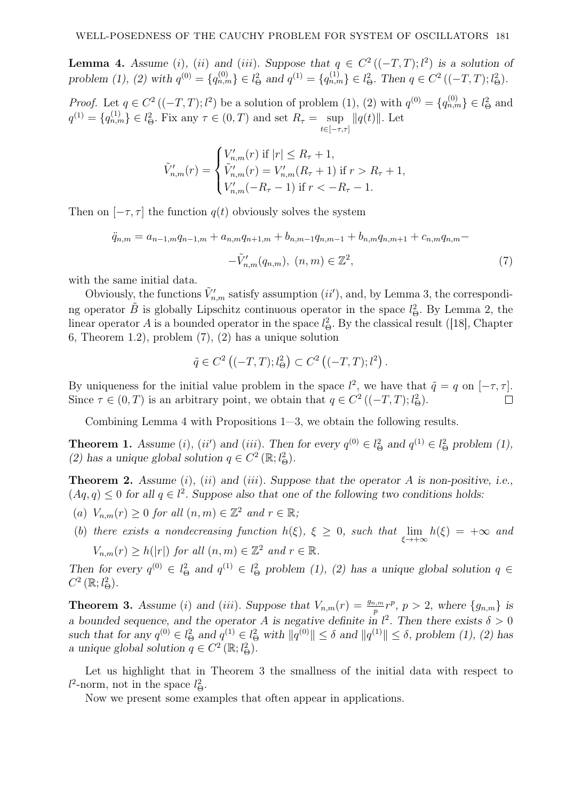**Lemma 4.** Assume (i), (ii) and (iii). Suppose that  $q \in C^2((-T,T); l^2)$  is a solution of problem (1), (2) with  $q^{(0)} = \{q_{n,m}^{(0)}\} \in l^2_{\Theta}$  and  $q^{(1)} = \{q_{n,m}^{(1)}\} \in l^2_{\Theta}$ . Then  $q \in C^2 \left( (-T, T); l^2_{\Theta} \right)$ .

*Proof.* Let  $q \in C^2((-T,T); l^2)$  be a solution of problem (1), (2) with  $q^{(0)} = \{q^{(0)}_{n,m}\} \in l^2_{\Theta}$  and  $q^{(1)} = \{q_{n,m}^{(1)}\} \in l_{\Theta}^2$ . Fix any  $\tau \in (0, T)$  and set  $R_{\tau} = \sup_{t \in [-\tau, \tau]}$  $||q(t)||$ . Let

$$
\tilde{V}'_{n,m}(r) = \begin{cases} V'_{n,m}(r) \text{ if } |r| \leq R_{\tau} + 1, \\ \tilde{V}'_{n,m}(r) = V'_{n,m}(R_{\tau} + 1) \text{ if } r > R_{\tau} + 1, \\ V'_{n,m}(-R_{\tau} - 1) \text{ if } r < -R_{\tau} - 1. \end{cases}
$$

Then on  $[-\tau, \tau]$  the function  $q(t)$  obviously solves the system

$$
\ddot{q}_{n,m} = a_{n-1,m}q_{n-1,m} + a_{n,m}q_{n+1,m} + b_{n,m-1}q_{n,m-1} + b_{n,m}q_{n,m+1} + c_{n,m}q_{n,m} - \tilde{V}'_{n,m}(q_{n,m}), \ (n,m) \in \mathbb{Z}^2,
$$
\n
$$
(7)
$$

with the same initial data.

Obviously, the functions  $\tilde{V}'_{n,m}$  satisfy assumption  $(ii')$ , and, by Lemma 3, the corresponding operator  $\tilde{B}$  is globally Lipschitz continuous operator in the space  $l_{\Theta}^2$ . By Lemma 2, the linear operator A is a bounded operator in the space  $l_{\Theta}^2$ . By the classical result ([18], Chapter 6, Theorem 1.2), problem (7), (2) has a unique solution

$$
\tilde{q} \in C^2 ((-T, T); l^2_{\Theta}) \subset C^2 ((-T, T); l^2).
$$

By uniqueness for the initial value problem in the space  $l^2$ , we have that  $\tilde{q} = q$  on  $[-\tau, \tau]$ . Since  $\tau \in (0, T)$  is an arbitrary point, we obtain that  $q \in C^2 \left( (-T, T); l^2_{\Theta} \right)$ .  $\Box$ 

Combining Lemma 4 with Propositions 1—3, we obtain the following results.

**Theorem 1.** Assume (i), (ii') and (iii). Then for every  $q^{(0)} \in l^2_{\Theta}$  and  $q^{(1)} \in l^2_{\Theta}$  problem (1), (2) has a unique global solution  $q \in C^2(\mathbb{R}; l^2_{\Theta})$ .

**Theorem 2.** Assume  $(i)$ ,  $(ii)$  and  $(iii)$ . Suppose that the operator A is non-positive, i.e.,  $(Aq, q) \leq 0$  for all  $q \in l^2$ . Suppose also that one of the following two conditions holds:

- (a)  $V_{n,m}(r) \geq 0$  for all  $(n,m) \in \mathbb{Z}^2$  and  $r \in \mathbb{R}$ ;
- (b) there exists a nondecreasing function  $h(\xi)$ ,  $\xi \geq 0$ , such that  $\lim_{\xi \to +\infty} h(\xi) = +\infty$  and  $V_{n,m}(r) \ge h(|r|)$  for all  $(n,m) \in \mathbb{Z}^2$  and  $r \in \mathbb{R}$ .

Then for every  $q^{(0)} \in l^2_{\Theta}$  and  $q^{(1)} \in l^2_{\Theta}$  problem (1), (2) has a unique global solution  $q \in$  $C^2\left(\mathbb{R}; l^2_{\Theta}\right)$ .

**Theorem 3.** Assume (i) and (iii). Suppose that  $V_{n,m}(r) = \frac{g_{n,m}}{p}r^p$ ,  $p > 2$ , where  $\{g_{n,m}\}$  is a bounded sequence, and the operator A is negative definite in  $l^2$ . Then there exists  $\delta > 0$ such that for any  $q^{(0)} \in l^2_{\Theta}$  and  $q^{(1)} \in l^2_{\Theta}$  with  $||q^{(0)}|| \leq \delta$  and  $||q^{(1)}|| \leq \delta$ , problem (1), (2) has a unique global solution  $q \in C^2(\mathbb{R}; l^2_{\Theta}).$ 

Let us highlight that in Theorem 3 the smallness of the initial data with respect to  $l^2$ -norm, not in the space  $l^2_{\Theta}$ .

Now we present some examples that often appear in applications.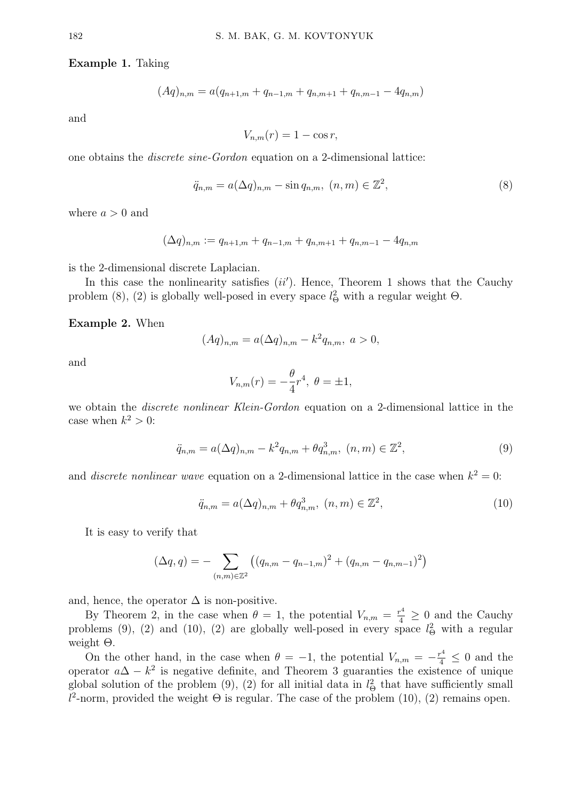Example 1. Taking

$$
(Aq)_{n,m} = a(q_{n+1,m} + q_{n-1,m} + q_{n,m+1} + q_{n,m-1} - 4q_{n,m})
$$

and

$$
V_{n,m}(r) = 1 - \cos r,
$$

one obtains the discrete sine-Gordon equation on a 2-dimensional lattice:

$$
\ddot{q}_{n,m} = a(\Delta q)_{n,m} - \sin q_{n,m}, \ (n,m) \in \mathbb{Z}^2,\tag{8}
$$

where  $a > 0$  and

$$
(\Delta q)_{n,m} := q_{n+1,m} + q_{n-1,m} + q_{n,m+1} + q_{n,m-1} - 4q_{n,m}
$$

is the 2-dimensional discrete Laplacian.

In this case the nonlinearity satisfies  $(ii')$ . Hence, Theorem 1 shows that the Cauchy problem (8), (2) is globally well-posed in every space  $l_{\Theta}^2$  with a regular weight  $\Theta$ .

Example 2. When

$$
(Aq)_{n,m} = a(\Delta q)_{n,m} - k^2 q_{n,m}, \ a > 0,
$$

and

$$
V_{n,m}(r) = -\frac{\theta}{4}r^4, \ \theta = \pm 1,
$$

we obtain the discrete nonlinear Klein-Gordon equation on a 2-dimensional lattice in the case when  $k^2 > 0$ :

$$
\ddot{q}_{n,m} = a(\Delta q)_{n,m} - k^2 q_{n,m} + \theta q_{n,m}^3, (n,m) \in \mathbb{Z}^2,
$$
\n(9)

and *discrete nonlinear wave* equation on a 2-dimensional lattice in the case when  $k^2 = 0$ :

$$
\ddot{q}_{n,m} = a(\Delta q)_{n,m} + \theta q_{n,m}^3, \ (n,m) \in \mathbb{Z}^2,
$$
\n(10)

It is easy to verify that

$$
(\Delta q, q) = - \sum_{(n,m)\in\mathbb{Z}^2} \left( (q_{n,m} - q_{n-1,m})^2 + (q_{n,m} - q_{n,m-1})^2 \right)
$$

and, hence, the operator  $\Delta$  is non-positive.

By Theorem 2, in the case when  $\theta = 1$ , the potential  $V_{n,m} = \frac{r^4}{4} \geq 0$  and the Cauchy problems (9), (2) and (10), (2) are globally well-posed in every space  $l_{\Theta}^2$  with a regular weight Θ.

On the other hand, in the case when  $\theta = -1$ , the potential  $V_{n,m} = -\frac{r^4}{4} \leq 0$  and the operator  $a\Delta - k^2$  is negative definite, and Theorem 3 guaranties the existence of unique global solution of the problem (9), (2) for all initial data in  $l_{\Theta}^2$  that have sufficiently small  $l^2$ -norm, provided the weight  $\Theta$  is regular. The case of the problem (10), (2) remains open.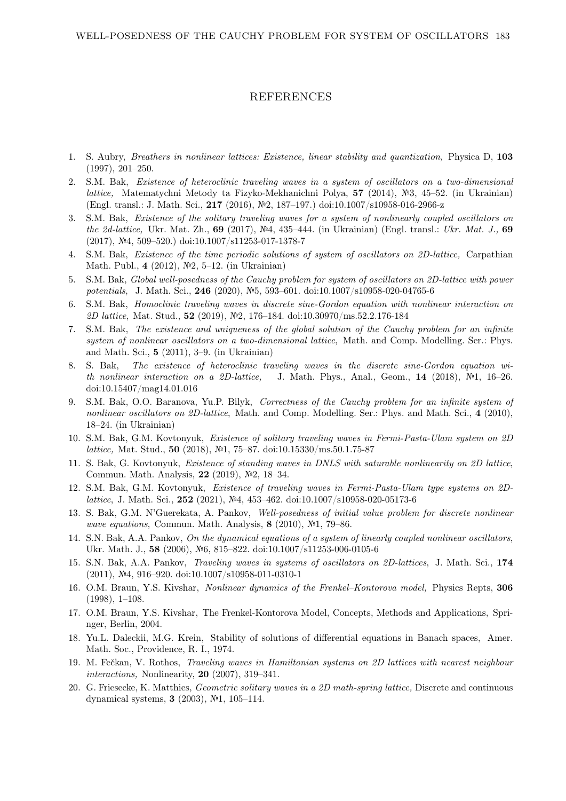## REFERENCES

- 1. S. Aubry, Breathers in nonlinear lattices: Existence, linear stability and quantization, Physica D, 103 (1997), 201–250.
- 2. S.M. Bak, Existence of heteroclinic traveling waves in a system of oscillators on a two-dimensional lattice, Matematychni Metody ta Fizyko-Mekhanichni Polya, 57 (2014), №3, 45–52. (in Ukrainian) (Engl. transl.: J. Math. Sci., 217 (2016), №2, 187–197.) doi:10.1007/s10958-016-2966-z
- 3. S.M. Bak, Existence of the solitary traveling waves for a system of nonlinearly coupled oscillators on the 2d-lattice, Ukr. Mat. Zh., 69 (2017), №4, 435–444. (in Ukrainian) (Engl. transl.: Ukr. Mat. J., 69 (2017), №4, 509–520.) doi:10.1007/s11253-017-1378-7
- 4. S.M. Bak, Existence of the time periodic solutions of system of oscillators on 2D-lattice, Carpathian Math. Publ., 4 (2012), №2, 5–12. (in Ukrainian)
- 5. S.M. Bak, Global well-posedness of the Cauchy problem for system of oscillators on 2D-lattice with power potentials, J. Math. Sci., 246 (2020), №5, 593–601. doi:10.1007/s10958-020-04765-6
- 6. S.M. Bak, Homoclinic traveling waves in discrete sine-Gordon equation with nonlinear interaction on 2D lattice, Mat. Stud., 52 (2019), №2, 176–184. doi:10.30970/ms.52.2.176-184
- 7. S.M. Bak, The existence and uniqueness of the global solution of the Cauchy problem for an infinite system of nonlinear oscillators on a two-dimensional lattice. Math. and Comp. Modelling. Ser.: Phys. and Math. Sci., 5 (2011), 3–9. (in Ukrainian)
- 8. S. Bak, The existence of heteroclinic traveling waves in the discrete sine-Gordon equation with nonlinear interaction on a 2D-lattice, J. Math. Phys., Anal., Geom., 14 (2018),  $\mathbb{N}^2$ , 16–26. doi:10.15407/mag14.01.016
- 9. S.M. Bak, O.O. Baranova, Yu.P. Bilyk, Correctness of the Cauchy problem for an infinite system of nonlinear oscillators on 2D-lattice, Math. and Comp. Modelling. Ser.: Phys. and Math. Sci., 4 (2010), 18–24. (in Ukrainian)
- 10. S.M. Bak, G.M. Kovtonyuk, Existence of solitary traveling waves in Fermi-Pasta-Ulam system on 2D *lattice*, Mat. Stud., 50 (2018), №1, 75–87. doi:10.15330/ms.50.1.75-87
- 11. S. Bak, G. Kovtonyuk, Existence of standing waves in DNLS with saturable nonlinearity on 2D lattice, Commun. Math. Analysis, 22 (2019), №2, 18–34.
- 12. S.M. Bak, G.M. Kovtonyuk, Existence of traveling waves in Fermi-Pasta-Ulam type systems on 2Dlattice, J. Math. Sci., 252 (2021), №4, 453–462. doi:10.1007/s10958-020-05173-6
- 13. S. Bak, G.M. N'Guerekata, A. Pankov, Well-posedness of initial value problem for discrete nonlinear wave equations, Commun. Math. Analysis, 8 (2010), №1, 79–86.
- 14. S.N. Bak, A.A. Pankov, On the dynamical equations of a system of linearly coupled nonlinear oscillators, Ukr. Math. J., 58 (2006), №6, 815–822. doi:10.1007/s11253-006-0105-6
- 15. S.N. Bak, A.A. Pankov, Traveling waves in systems of oscillators on 2D-lattices, J. Math. Sci., 174 (2011), №4, 916–920. doi:10.1007/s10958-011-0310-1
- 16. O.M. Braun, Y.S. Kivshar, Nonlinear dynamics of the Frenkel–Kontorova model, Physics Repts, 306 (1998), 1–108.
- 17. O.M. Braun, Y.S. Kivshar, The Frenkel-Kontorova Model, Concepts, Methods and Applications, Springer, Berlin, 2004.
- 18. Yu.L. Daleckii, M.G. Krein, Stability of solutions of differential equations in Banach spaces, Amer. Math. Soc., Providence, R. I., 1974.
- 19. M. Fečkan, V. Rothos, *Traveling waves in Hamiltonian systems on 2D lattices with nearest neighbour* interactions, Nonlinearity, 20 (2007), 319–341.
- 20. G. Friesecke, K. Matthies, Geometric solitary waves in a 2D math-spring lattice, Discrete and continuous dynamical systems, 3 (2003), №1, 105–114.